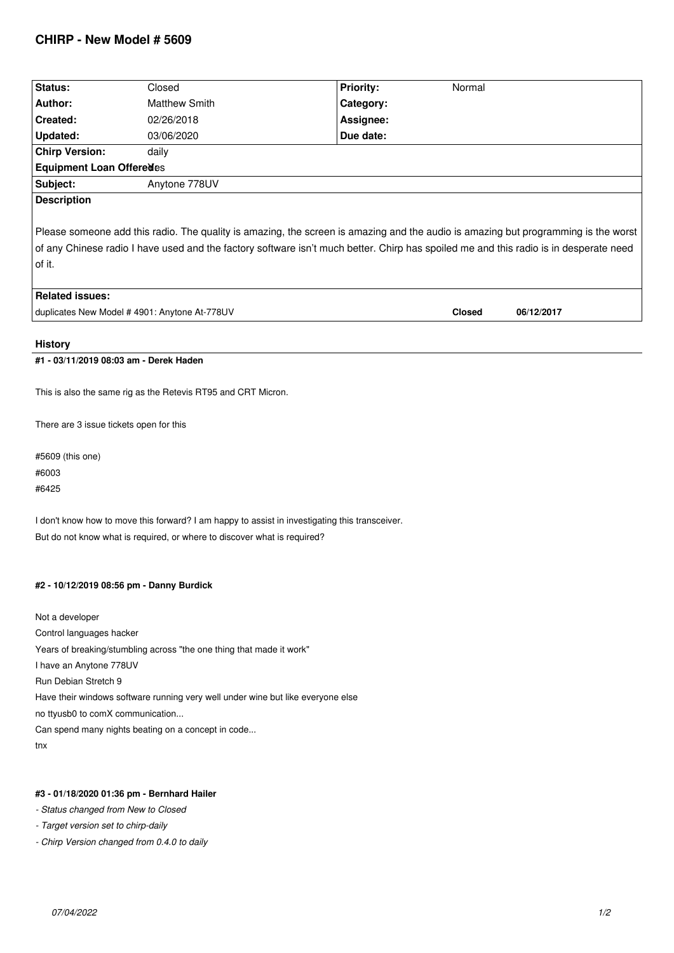## **CHIRP - New Model # 5609**

| Status:                                                                                                                                                                                                                                                                                                                                                                                         | Closed               | Priority: | Normal |  |
|-------------------------------------------------------------------------------------------------------------------------------------------------------------------------------------------------------------------------------------------------------------------------------------------------------------------------------------------------------------------------------------------------|----------------------|-----------|--------|--|
| Author:                                                                                                                                                                                                                                                                                                                                                                                         | <b>Matthew Smith</b> | Category: |        |  |
| Created:                                                                                                                                                                                                                                                                                                                                                                                        | 02/26/2018           | Assignee: |        |  |
| Updated:                                                                                                                                                                                                                                                                                                                                                                                        | 03/06/2020           | Due date: |        |  |
| <b>Chirp Version:</b>                                                                                                                                                                                                                                                                                                                                                                           | daily                |           |        |  |
| Equipment Loan Offeredes                                                                                                                                                                                                                                                                                                                                                                        |                      |           |        |  |
| Subject:                                                                                                                                                                                                                                                                                                                                                                                        | Anytone 778UV        |           |        |  |
| <b>Description</b>                                                                                                                                                                                                                                                                                                                                                                              |                      |           |        |  |
| Please someone add this radio. The quality is amazing, the screen is amazing and the audio is amazing but programming is the worst<br>of any Chinese radio I have used and the factory software isn't much better. Chirp has spoiled me and this radio is in desperate need<br>of it.<br><b>Related issues:</b><br>duplicates New Model # 4901: Anytone At-778UV<br><b>Closed</b><br>06/12/2017 |                      |           |        |  |
| <b>History</b>                                                                                                                                                                                                                                                                                                                                                                                  |                      |           |        |  |
| #1 - 03/11/2019 08:03 am - Derek Haden                                                                                                                                                                                                                                                                                                                                                          |                      |           |        |  |
| This is also the same rig as the Retevis RT95 and CRT Micron.<br>There are 3 issue tickets open for this                                                                                                                                                                                                                                                                                        |                      |           |        |  |
|                                                                                                                                                                                                                                                                                                                                                                                                 |                      |           |        |  |

*#5609 (this one) #6003 #6425*

*I don't know how to move this forward? I am happy to assist in investigating this transceiver. But do not know what is required, or where to discover what is required?*

## **#2 - 10/12/2019 08:56 pm - Danny Burdick**

*Not a developer Control languages hacker Years of breaking/stumbling across "the one thing that made it work" I have an Anytone 778UV Run Debian Stretch 9 Have their windows software running very well under wine but like everyone else no ttyusb0 to comX communication... Can spend many nights beating on a concept in code... tnx*

## **#3 - 01/18/2020 01:36 pm - Bernhard Hailer**

- *Status changed from New to Closed*
- *Target version set to chirp-daily*
- *Chirp Version changed from 0.4.0 to daily*